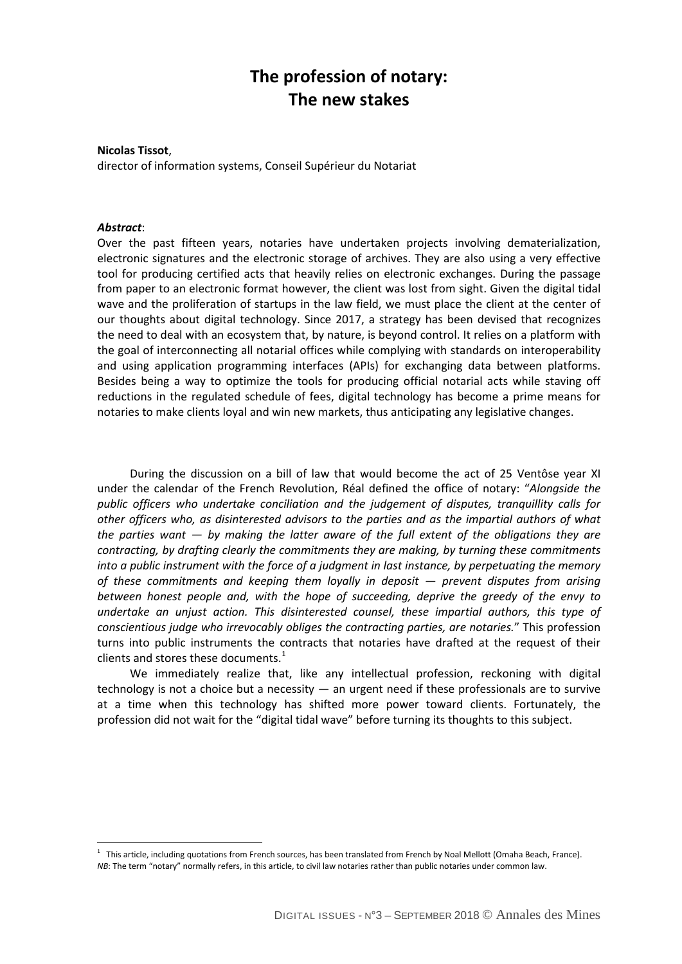# **The profession of notary: The new stakes**

**Nicolas Tissot**, director of information systems, Conseil Supérieur du Notariat

#### *Abstract*:

 $\overline{a}$ 

Over the past fifteen years, notaries have undertaken projects involving dematerialization, electronic signatures and the electronic storage of archives. They are also using a very effective tool for producing certified acts that heavily relies on electronic exchanges. During the passage from paper to an electronic format however, the client was lost from sight. Given the digital tidal wave and the proliferation of startups in the law field, we must place the client at the center of our thoughts about digital technology. Since 2017, a strategy has been devised that recognizes the need to deal with an ecosystem that, by nature, is beyond control. It relies on a platform with the goal of interconnecting all notarial offices while complying with standards on interoperability and using application programming interfaces (APIs) for exchanging data between platforms. Besides being a way to optimize the tools for producing official notarial acts while staving off reductions in the regulated schedule of fees, digital technology has become a prime means for notaries to make clients loyal and win new markets, thus anticipating any legislative changes.

During the discussion on a bill of law that would become the act of 25 Ventôse year XI under the calendar of the French Revolution, Réal defined the office of notary: "*Alongside the public officers who undertake conciliation and the judgement of disputes, tranquillity calls for other officers who, as disinterested advisors to the parties and as the impartial authors of what the parties want — by making the latter aware of the full extent of the obligations they are contracting, by drafting clearly the commitments they are making, by turning these commitments into a public instrument with the force of a judgment in last instance, by perpetuating the memory of these commitments and keeping them loyally in deposit — prevent disputes from arising between honest people and, with the hope of succeeding, deprive the greedy of the envy to undertake an unjust action. This disinterested counsel, these impartial authors, this type of conscientious judge who irrevocably obliges the contracting parties, are notaries.*" This profession turns into public instruments the contracts that notaries have drafted at the request of their clients and stores these documents. $<sup>1</sup>$  $<sup>1</sup>$  $<sup>1</sup>$ </sup>

We immediately realize that, like any intellectual profession, reckoning with digital technology is not a choice but a necessity — an urgent need if these professionals are to survive at a time when this technology has shifted more power toward clients. Fortunately, the profession did not wait for the "digital tidal wave" before turning its thoughts to this subject.

<span id="page-0-0"></span><sup>&</sup>lt;sup>1</sup> This article, including quotations from French sources, has been translated from French by Noal Mellott (Omaha Beach, France). *NB*: The term "notary" normally refers, in this article, to civil law notaries rather than public notaries under common law.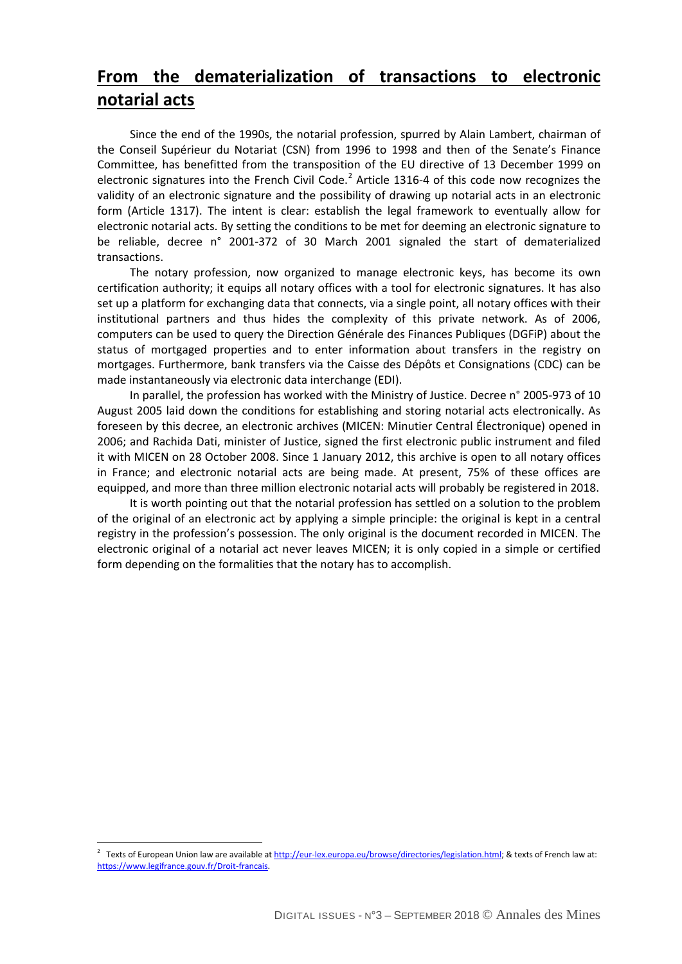# **From the dematerialization of transactions to electronic notarial acts**

Since the end of the 1990s, the notarial profession, spurred by Alain Lambert, chairman of the Conseil Supérieur du Notariat (CSN) from 1996 to 1998 and then of the Senate's Finance Committee, has benefitted from the transposition of the EU directive of 13 December 1999 on electronic signatures into the French Civil Code.<sup>[2](#page-1-0)</sup> Article 1316-4 of this code now recognizes the validity of an electronic signature and the possibility of drawing up notarial acts in an electronic form (Article 1317). The intent is clear: establish the legal framework to eventually allow for electronic notarial acts. By setting the conditions to be met for deeming an electronic signature to be reliable, decree n° 2001-372 of 30 March 2001 signaled the start of dematerialized transactions.

The notary profession, now organized to manage electronic keys, has become its own certification authority; it equips all notary offices with a tool for electronic signatures. It has also set up a platform for exchanging data that connects, via a single point, all notary offices with their institutional partners and thus hides the complexity of this private network. As of 2006, computers can be used to query the Direction Générale des Finances Publiques (DGFiP) about the status of mortgaged properties and to enter information about transfers in the registry on mortgages. Furthermore, bank transfers via the Caisse des Dépôts et Consignations (CDC) can be made instantaneously via electronic data interchange (EDI).

In parallel, the profession has worked with the Ministry of Justice. Decree n° 2005-973 of 10 August 2005 laid down the conditions for establishing and storing notarial acts electronically. As foreseen by this decree, an electronic archives (MICEN: Minutier Central Électronique) opened in 2006; and Rachida Dati, minister of Justice, signed the first electronic public instrument and filed it with MICEN on 28 October 2008. Since 1 January 2012, this archive is open to all notary offices in France; and electronic notarial acts are being made. At present, 75% of these offices are equipped, and more than three million electronic notarial acts will probably be registered in 2018.

It is worth pointing out that the notarial profession has settled on a solution to the problem of the original of an electronic act by applying a simple principle: the original is kept in a central registry in the profession's possession. The only original is the document recorded in MICEN. The electronic original of a notarial act never leaves MICEN; it is only copied in a simple or certified form depending on the formalities that the notary has to accomplish.

 $\overline{a}$ 

<span id="page-1-0"></span><sup>&</sup>lt;sup>2</sup> Texts of European Union law are available a[t http://eur-lex.europa.eu/browse/directories/legislation.html;](http://eur-lex.europa.eu/browse/directories/legislation.html) & texts of French law at: [https://www.legifrance.gouv.fr/Droit-francais.](https://www.legifrance.gouv.fr/Droit-francais)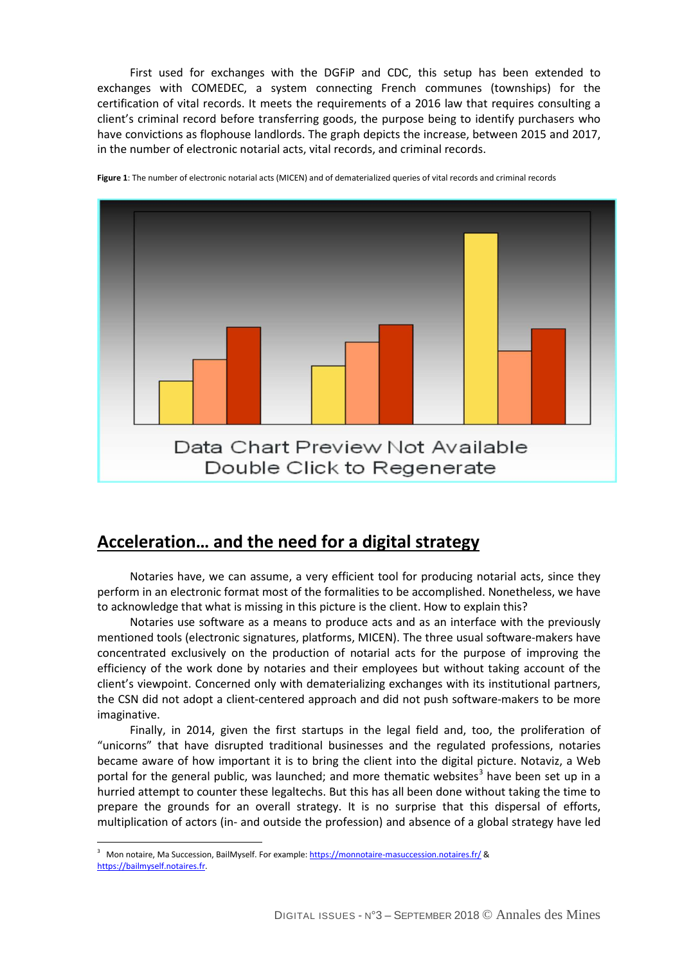First used for exchanges with the DGFiP and CDC, this setup has been extended to exchanges with COMEDEC, a system connecting French communes (townships) for the certification of vital records. It meets the requirements of a 2016 law that requires consulting a client's criminal record before transferring goods, the purpose being to identify purchasers who have convictions as flophouse landlords. The graph depicts the increase, between 2015 and 2017, in the number of electronic notarial acts, vital records, and criminal records.



**Figure 1**: The number of electronic notarial acts (MICEN) and of dematerialized queries of vital records and criminal records

## **Acceleration… and the need for a digital strategy**

Notaries have, we can assume, a very efficient tool for producing notarial acts, since they perform in an electronic format most of the formalities to be accomplished. Nonetheless, we have to acknowledge that what is missing in this picture is the client. How to explain this?

Notaries use software as a means to produce acts and as an interface with the previously mentioned tools (electronic signatures, platforms, MICEN). The three usual software-makers have concentrated exclusively on the production of notarial acts for the purpose of improving the efficiency of the work done by notaries and their employees but without taking account of the client's viewpoint. Concerned only with dematerializing exchanges with its institutional partners, the CSN did not adopt a client-centered approach and did not push software-makers to be more imaginative.

Finally, in 2014, given the first startups in the legal field and, too, the proliferation of "unicorns" that have disrupted traditional businesses and the regulated professions, notaries became aware of how important it is to bring the client into the digital picture. Notaviz, a Web portal for the general public, was launched; and more thematic websites<sup>[3](#page-2-0)</sup> have been set up in a hurried attempt to counter these legaltechs. But this has all been done without taking the time to prepare the grounds for an overall strategy. It is no surprise that this dispersal of efforts, multiplication of actors (in- and outside the profession) and absence of a global strategy have led

<span id="page-2-0"></span> 3 Mon notaire, Ma Succession, BailMyself. For example[: https://monnotaire-masuccession.notaires.fr/](https://monnotaire-masuccession.notaires.fr/) & [https://bailmyself.notaires.fr.](https://bailmyself.notaires.fr/)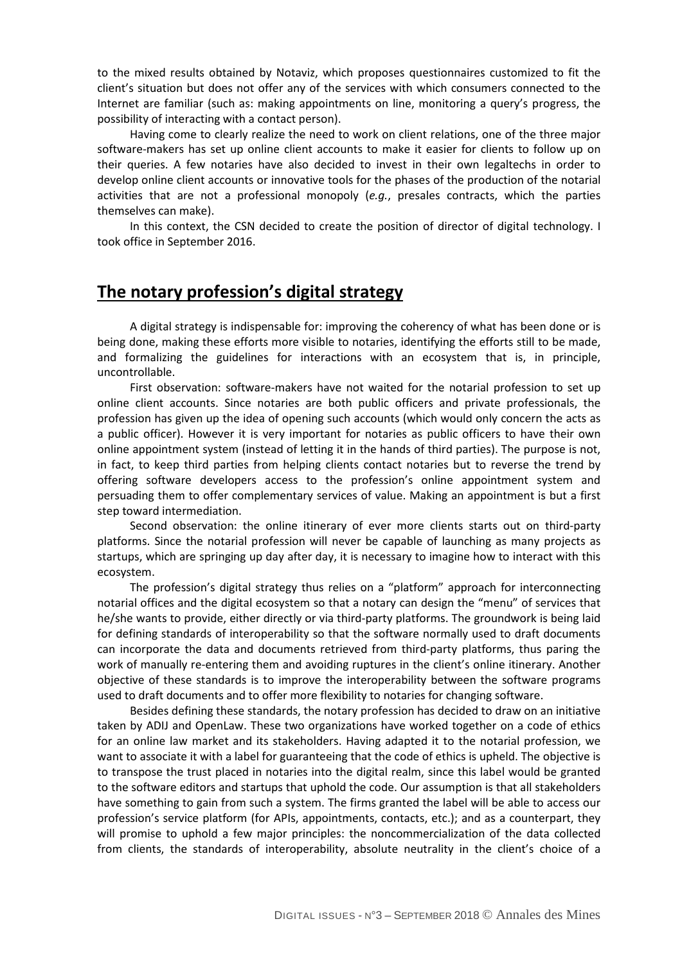to the mixed results obtained by Notaviz, which proposes questionnaires customized to fit the client's situation but does not offer any of the services with which consumers connected to the Internet are familiar (such as: making appointments on line, monitoring a query's progress, the possibility of interacting with a contact person).

Having come to clearly realize the need to work on client relations, one of the three major software-makers has set up online client accounts to make it easier for clients to follow up on their queries. A few notaries have also decided to invest in their own legaltechs in order to develop online client accounts or innovative tools for the phases of the production of the notarial activities that are not a professional monopoly (*e.g.*, presales contracts, which the parties themselves can make).

In this context, the CSN decided to create the position of director of digital technology. I took office in September 2016.

### **The notary profession's digital strategy**

A digital strategy is indispensable for: improving the coherency of what has been done or is being done, making these efforts more visible to notaries, identifying the efforts still to be made, and formalizing the guidelines for interactions with an ecosystem that is, in principle, uncontrollable.

First observation: software-makers have not waited for the notarial profession to set up online client accounts. Since notaries are both public officers and private professionals, the profession has given up the idea of opening such accounts (which would only concern the acts as a public officer). However it is very important for notaries as public officers to have their own online appointment system (instead of letting it in the hands of third parties). The purpose is not, in fact, to keep third parties from helping clients contact notaries but to reverse the trend by offering software developers access to the profession's online appointment system and persuading them to offer complementary services of value. Making an appointment is but a first step toward intermediation.

Second observation: the online itinerary of ever more clients starts out on third-party platforms. Since the notarial profession will never be capable of launching as many projects as startups, which are springing up day after day, it is necessary to imagine how to interact with this ecosystem.

The profession's digital strategy thus relies on a "platform" approach for interconnecting notarial offices and the digital ecosystem so that a notary can design the "menu" of services that he/she wants to provide, either directly or via third-party platforms. The groundwork is being laid for defining standards of interoperability so that the software normally used to draft documents can incorporate the data and documents retrieved from third-party platforms, thus paring the work of manually re-entering them and avoiding ruptures in the client's online itinerary. Another objective of these standards is to improve the interoperability between the software programs used to draft documents and to offer more flexibility to notaries for changing software.

Besides defining these standards, the notary profession has decided to draw on an initiative taken by ADIJ and OpenLaw. These two organizations have worked together on a code of ethics for an online law market and its stakeholders. Having adapted it to the notarial profession, we want to associate it with a label for guaranteeing that the code of ethics is upheld. The objective is to transpose the trust placed in notaries into the digital realm, since this label would be granted to the software editors and startups that uphold the code. Our assumption is that all stakeholders have something to gain from such a system. The firms granted the label will be able to access our profession's service platform (for APIs, appointments, contacts, etc.); and as a counterpart, they will promise to uphold a few major principles: the noncommercialization of the data collected from clients, the standards of interoperability, absolute neutrality in the client's choice of a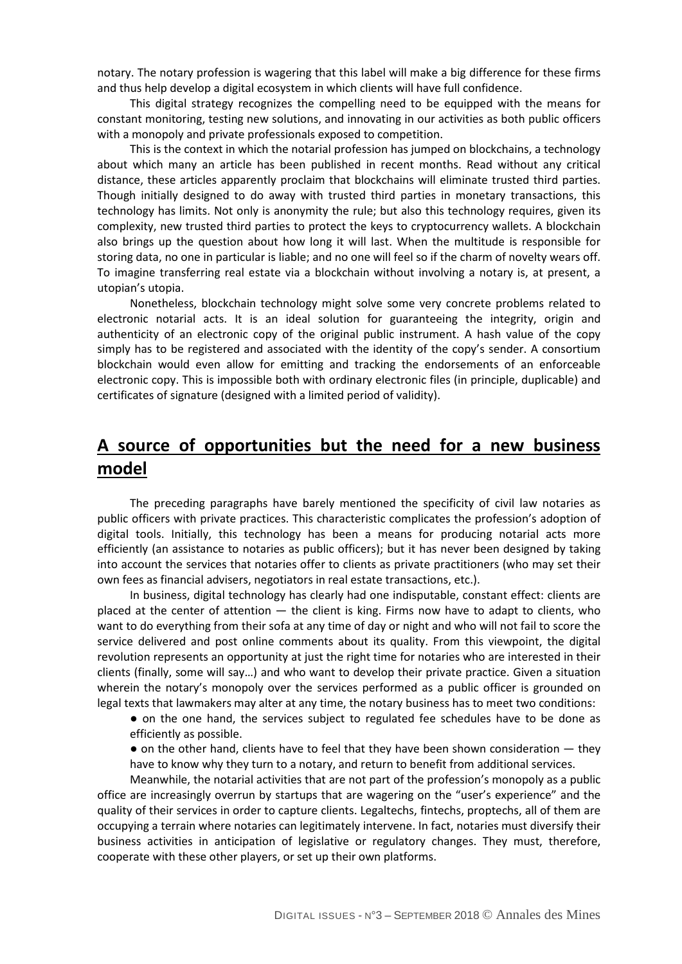notary. The notary profession is wagering that this label will make a big difference for these firms and thus help develop a digital ecosystem in which clients will have full confidence.

This digital strategy recognizes the compelling need to be equipped with the means for constant monitoring, testing new solutions, and innovating in our activities as both public officers with a monopoly and private professionals exposed to competition.

This is the context in which the notarial profession has jumped on blockchains, a technology about which many an article has been published in recent months. Read without any critical distance, these articles apparently proclaim that blockchains will eliminate trusted third parties. Though initially designed to do away with trusted third parties in monetary transactions, this technology has limits. Not only is anonymity the rule; but also this technology requires, given its complexity, new trusted third parties to protect the keys to cryptocurrency wallets. A blockchain also brings up the question about how long it will last. When the multitude is responsible for storing data, no one in particular is liable; and no one will feel so if the charm of novelty wears off. To imagine transferring real estate via a blockchain without involving a notary is, at present, a utopian's utopia.

Nonetheless, blockchain technology might solve some very concrete problems related to electronic notarial acts. It is an ideal solution for guaranteeing the integrity, origin and authenticity of an electronic copy of the original public instrument. A hash value of the copy simply has to be registered and associated with the identity of the copy's sender. A consortium blockchain would even allow for emitting and tracking the endorsements of an enforceable electronic copy. This is impossible both with ordinary electronic files (in principle, duplicable) and certificates of signature (designed with a limited period of validity).

# **A source of opportunities but the need for a new business model**

The preceding paragraphs have barely mentioned the specificity of civil law notaries as public officers with private practices. This characteristic complicates the profession's adoption of digital tools. Initially, this technology has been a means for producing notarial acts more efficiently (an assistance to notaries as public officers); but it has never been designed by taking into account the services that notaries offer to clients as private practitioners (who may set their own fees as financial advisers, negotiators in real estate transactions, etc.).

In business, digital technology has clearly had one indisputable, constant effect: clients are placed at the center of attention — the client is king. Firms now have to adapt to clients, who want to do everything from their sofa at any time of day or night and who will not fail to score the service delivered and post online comments about its quality. From this viewpoint, the digital revolution represents an opportunity at just the right time for notaries who are interested in their clients (finally, some will say…) and who want to develop their private practice. Given a situation wherein the notary's monopoly over the services performed as a public officer is grounded on legal texts that lawmakers may alter at any time, the notary business has to meet two conditions:

● on the one hand, the services subject to regulated fee schedules have to be done as efficiently as possible.

 $\bullet$  on the other hand, clients have to feel that they have been shown consideration  $-$  they have to know why they turn to a notary, and return to benefit from additional services.

Meanwhile, the notarial activities that are not part of the profession's monopoly as a public office are increasingly overrun by startups that are wagering on the "user's experience" and the quality of their services in order to capture clients. Legaltechs, fintechs, proptechs, all of them are occupying a terrain where notaries can legitimately intervene. In fact, notaries must diversify their business activities in anticipation of legislative or regulatory changes. They must, therefore, cooperate with these other players, or set up their own platforms.